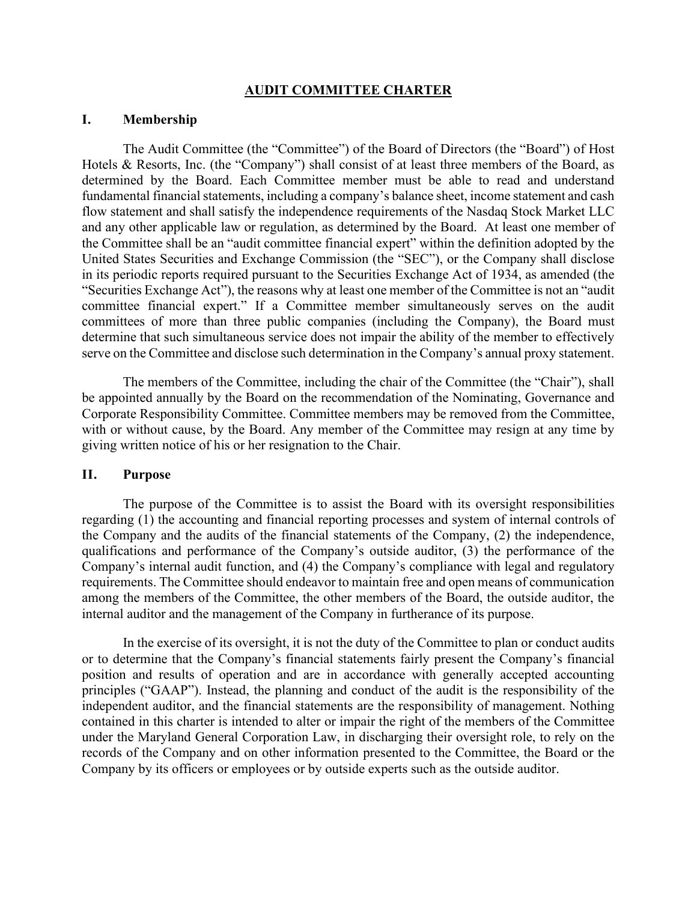#### **AUDIT COMMITTEE CHARTER**

#### **I. Membership**

The Audit Committee (the "Committee") of the Board of Directors (the "Board") of Host Hotels & Resorts, Inc. (the "Company") shall consist of at least three members of the Board, as determined by the Board. Each Committee member must be able to read and understand fundamental financial statements, including a company's balance sheet, income statement and cash flow statement and shall satisfy the independence requirements of the Nasdaq Stock Market LLC and any other applicable law or regulation, as determined by the Board. At least one member of the Committee shall be an "audit committee financial expert" within the definition adopted by the United States Securities and Exchange Commission (the "SEC"), or the Company shall disclose in its periodic reports required pursuant to the Securities Exchange Act of 1934, as amended (the "Securities Exchange Act"), the reasons why at least one member of the Committee is not an "audit committee financial expert." If a Committee member simultaneously serves on the audit committees of more than three public companies (including the Company), the Board must determine that such simultaneous service does not impair the ability of the member to effectively serve on the Committee and disclose such determination in the Company's annual proxy statement.

The members of the Committee, including the chair of the Committee (the "Chair"), shall be appointed annually by the Board on the recommendation of the Nominating, Governance and Corporate Responsibility Committee. Committee members may be removed from the Committee, with or without cause, by the Board. Any member of the Committee may resign at any time by giving written notice of his or her resignation to the Chair.

#### **II. Purpose**

The purpose of the Committee is to assist the Board with its oversight responsibilities regarding (1) the accounting and financial reporting processes and system of internal controls of the Company and the audits of the financial statements of the Company, (2) the independence, qualifications and performance of the Company's outside auditor, (3) the performance of the Company's internal audit function, and (4) the Company's compliance with legal and regulatory requirements. The Committee should endeavor to maintain free and open means of communication among the members of the Committee, the other members of the Board, the outside auditor, the internal auditor and the management of the Company in furtherance of its purpose.

In the exercise of its oversight, it is not the duty of the Committee to plan or conduct audits or to determine that the Company's financial statements fairly present the Company's financial position and results of operation and are in accordance with generally accepted accounting principles ("GAAP"). Instead, the planning and conduct of the audit is the responsibility of the independent auditor, and the financial statements are the responsibility of management. Nothing contained in this charter is intended to alter or impair the right of the members of the Committee under the Maryland General Corporation Law, in discharging their oversight role, to rely on the records of the Company and on other information presented to the Committee, the Board or the Company by its officers or employees or by outside experts such as the outside auditor.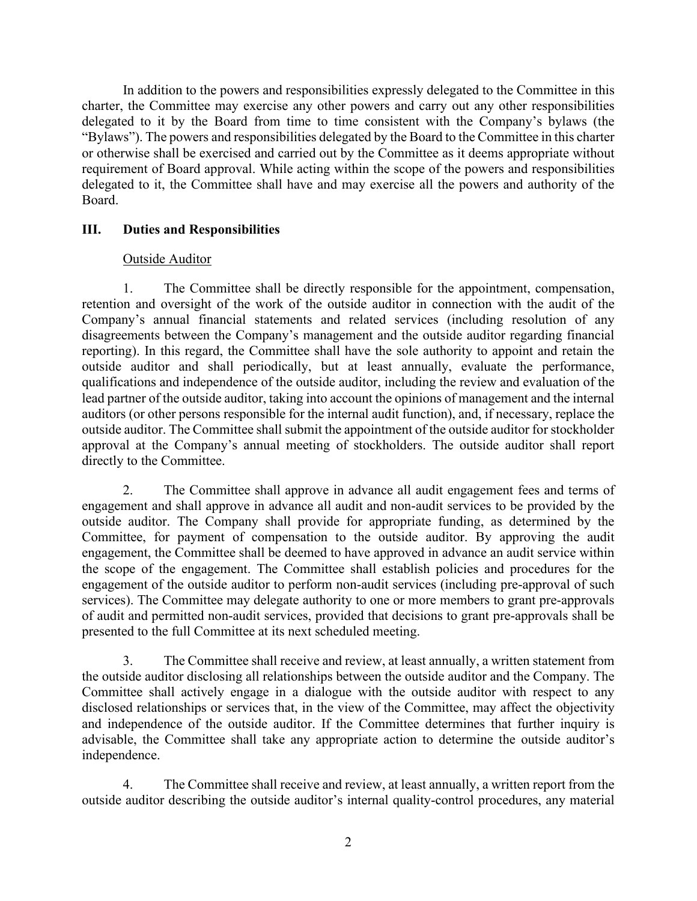In addition to the powers and responsibilities expressly delegated to the Committee in this charter, the Committee may exercise any other powers and carry out any other responsibilities delegated to it by the Board from time to time consistent with the Company's bylaws (the "Bylaws"). The powers and responsibilities delegated by the Board to the Committee in this charter or otherwise shall be exercised and carried out by the Committee as it deems appropriate without requirement of Board approval. While acting within the scope of the powers and responsibilities delegated to it, the Committee shall have and may exercise all the powers and authority of the Board.

### **III. Duties and Responsibilities**

### Outside Auditor

1. The Committee shall be directly responsible for the appointment, compensation, retention and oversight of the work of the outside auditor in connection with the audit of the Company's annual financial statements and related services (including resolution of any disagreements between the Company's management and the outside auditor regarding financial reporting). In this regard, the Committee shall have the sole authority to appoint and retain the outside auditor and shall periodically, but at least annually, evaluate the performance, qualifications and independence of the outside auditor, including the review and evaluation of the lead partner of the outside auditor, taking into account the opinions of management and the internal auditors (or other persons responsible for the internal audit function), and, if necessary, replace the outside auditor. The Committee shall submit the appointment of the outside auditor for stockholder approval at the Company's annual meeting of stockholders. The outside auditor shall report directly to the Committee.

2. The Committee shall approve in advance all audit engagement fees and terms of engagement and shall approve in advance all audit and non-audit services to be provided by the outside auditor. The Company shall provide for appropriate funding, as determined by the Committee, for payment of compensation to the outside auditor. By approving the audit engagement, the Committee shall be deemed to have approved in advance an audit service within the scope of the engagement. The Committee shall establish policies and procedures for the engagement of the outside auditor to perform non-audit services (including pre-approval of such services). The Committee may delegate authority to one or more members to grant pre-approvals of audit and permitted non-audit services, provided that decisions to grant pre-approvals shall be presented to the full Committee at its next scheduled meeting.

3. The Committee shall receive and review, at least annually, a written statement from the outside auditor disclosing all relationships between the outside auditor and the Company. The Committee shall actively engage in a dialogue with the outside auditor with respect to any disclosed relationships or services that, in the view of the Committee, may affect the objectivity and independence of the outside auditor. If the Committee determines that further inquiry is advisable, the Committee shall take any appropriate action to determine the outside auditor's independence.

4. The Committee shall receive and review, at least annually, a written report from the outside auditor describing the outside auditor's internal quality-control procedures, any material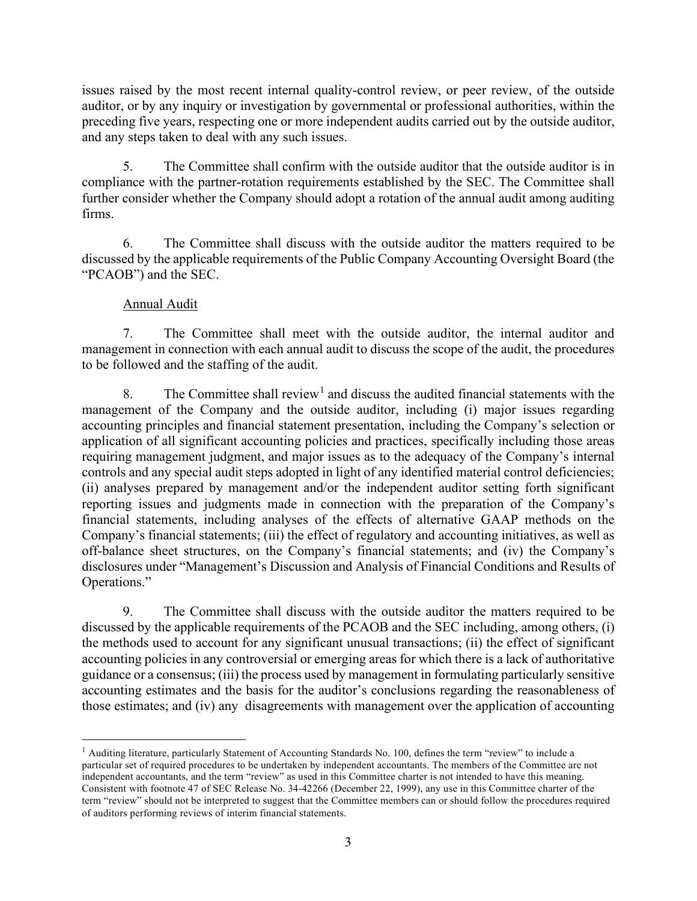issues raised by the most recent internal quality-control review, or peer review, of the outside auditor, or by any inquiry or investigation by governmental or professional authorities, within the preceding five years, respecting one or more independent audits carried out by the outside auditor, and any steps taken to deal with any such issues.

5. The Committee shall confirm with the outside auditor that the outside auditor is in compliance with the partner-rotation requirements established by the SEC. The Committee shall further consider whether the Company should adopt a rotation of the annual audit among auditing firms.

6. The Committee shall discuss with the outside auditor the matters required to be discussed by the applicable requirements of the Public Company Accounting Oversight Board (the "PCAOB") and the SEC.

# Annual Audit

7. The Committee shall meet with the outside auditor, the internal auditor and management in connection with each annual audit to discuss the scope of the audit, the procedures to be followed and the staffing of the audit.

8. The Committee shall review<sup>[1](#page-2-0)</sup> and discuss the audited financial statements with the management of the Company and the outside auditor, including (i) major issues regarding accounting principles and financial statement presentation, including the Company's selection or application of all significant accounting policies and practices, specifically including those areas requiring management judgment, and major issues as to the adequacy of the Company's internal controls and any special audit steps adopted in light of any identified material control deficiencies; (ii) analyses prepared by management and/or the independent auditor setting forth significant reporting issues and judgments made in connection with the preparation of the Company's financial statements, including analyses of the effects of alternative GAAP methods on the Company's financial statements; (iii) the effect of regulatory and accounting initiatives, as well as off-balance sheet structures, on the Company's financial statements; and (iv) the Company's disclosures under "Management's Discussion and Analysis of Financial Conditions and Results of Operations."

9. The Committee shall discuss with the outside auditor the matters required to be discussed by the applicable requirements of the PCAOB and the SEC including, among others, (i) the methods used to account for any significant unusual transactions; (ii) the effect of significant accounting policies in any controversial or emerging areas for which there is a lack of authoritative guidance or a consensus; (iii) the process used by management in formulating particularly sensitive accounting estimates and the basis for the auditor's conclusions regarding the reasonableness of those estimates; and (iv) any disagreements with management over the application of accounting

<span id="page-2-0"></span><sup>&</sup>lt;sup>1</sup> Auditing literature, particularly Statement of Accounting Standards No. 100, defines the term "review" to include a particular set of required procedures to be undertaken by independent accountants. The members of the Committee are not independent accountants, and the term "review" as used in this Committee charter is not intended to have this meaning. Consistent with footnote 47 of SEC Release No. 34-42266 (December 22, 1999), any use in this Committee charter of the term "review" should not be interpreted to suggest that the Committee members can or should follow the procedures required of auditors performing reviews of interim financial statements.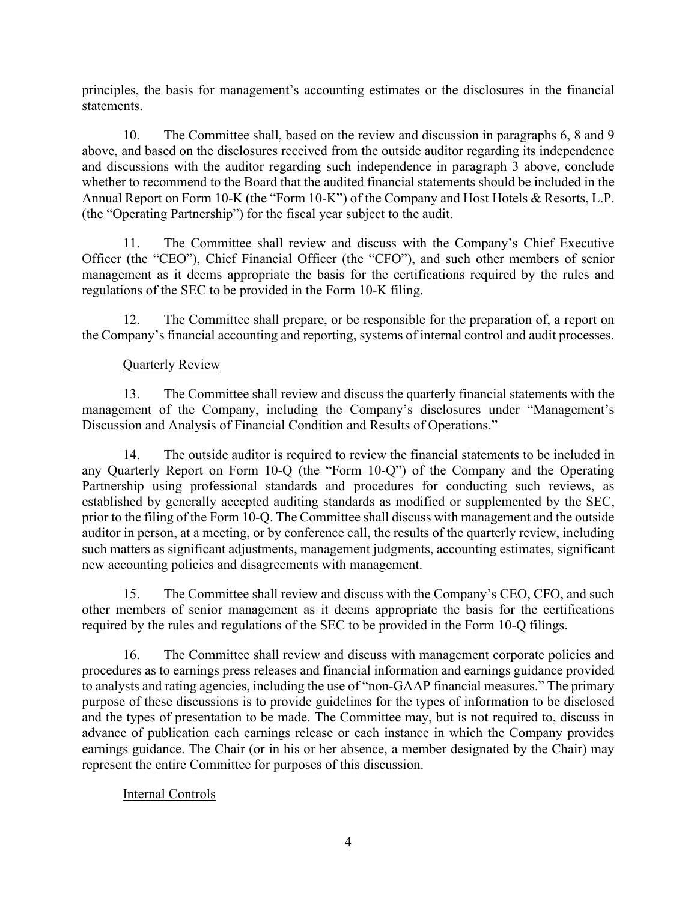principles, the basis for management's accounting estimates or the disclosures in the financial statements.

10. The Committee shall, based on the review and discussion in paragraphs 6, 8 and 9 above, and based on the disclosures received from the outside auditor regarding its independence and discussions with the auditor regarding such independence in paragraph 3 above, conclude whether to recommend to the Board that the audited financial statements should be included in the Annual Report on Form 10-K (the "Form 10-K") of the Company and Host Hotels & Resorts, L.P. (the "Operating Partnership") for the fiscal year subject to the audit.

11. The Committee shall review and discuss with the Company's Chief Executive Officer (the "CEO"), Chief Financial Officer (the "CFO"), and such other members of senior management as it deems appropriate the basis for the certifications required by the rules and regulations of the SEC to be provided in the Form 10-K filing.

12. The Committee shall prepare, or be responsible for the preparation of, a report on the Company's financial accounting and reporting, systems of internal control and audit processes.

### Quarterly Review

13. The Committee shall review and discuss the quarterly financial statements with the management of the Company, including the Company's disclosures under "Management's Discussion and Analysis of Financial Condition and Results of Operations."

14. The outside auditor is required to review the financial statements to be included in any Quarterly Report on Form 10-Q (the "Form 10-Q") of the Company and the Operating Partnership using professional standards and procedures for conducting such reviews, as established by generally accepted auditing standards as modified or supplemented by the SEC, prior to the filing of the Form 10-Q. The Committee shall discuss with management and the outside auditor in person, at a meeting, or by conference call, the results of the quarterly review, including such matters as significant adjustments, management judgments, accounting estimates, significant new accounting policies and disagreements with management.

15. The Committee shall review and discuss with the Company's CEO, CFO, and such other members of senior management as it deems appropriate the basis for the certifications required by the rules and regulations of the SEC to be provided in the Form 10-Q filings.

16. The Committee shall review and discuss with management corporate policies and procedures as to earnings press releases and financial information and earnings guidance provided to analysts and rating agencies, including the use of "non-GAAP financial measures." The primary purpose of these discussions is to provide guidelines for the types of information to be disclosed and the types of presentation to be made. The Committee may, but is not required to, discuss in advance of publication each earnings release or each instance in which the Company provides earnings guidance. The Chair (or in his or her absence, a member designated by the Chair) may represent the entire Committee for purposes of this discussion.

### Internal Controls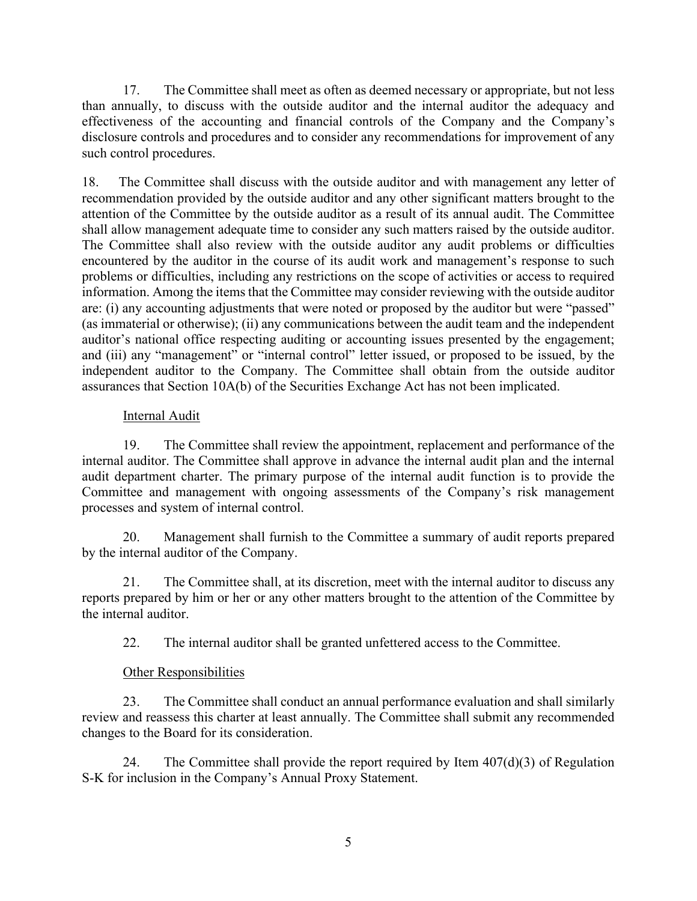17. The Committee shall meet as often as deemed necessary or appropriate, but not less than annually, to discuss with the outside auditor and the internal auditor the adequacy and effectiveness of the accounting and financial controls of the Company and the Company's disclosure controls and procedures and to consider any recommendations for improvement of any such control procedures.

18. The Committee shall discuss with the outside auditor and with management any letter of recommendation provided by the outside auditor and any other significant matters brought to the attention of the Committee by the outside auditor as a result of its annual audit. The Committee shall allow management adequate time to consider any such matters raised by the outside auditor. The Committee shall also review with the outside auditor any audit problems or difficulties encountered by the auditor in the course of its audit work and management's response to such problems or difficulties, including any restrictions on the scope of activities or access to required information. Among the items that the Committee may consider reviewing with the outside auditor are: (i) any accounting adjustments that were noted or proposed by the auditor but were "passed" (as immaterial or otherwise); (ii) any communications between the audit team and the independent auditor's national office respecting auditing or accounting issues presented by the engagement; and (iii) any "management" or "internal control" letter issued, or proposed to be issued, by the independent auditor to the Company. The Committee shall obtain from the outside auditor assurances that Section 10A(b) of the Securities Exchange Act has not been implicated.

### Internal Audit

19. The Committee shall review the appointment, replacement and performance of the internal auditor. The Committee shall approve in advance the internal audit plan and the internal audit department charter. The primary purpose of the internal audit function is to provide the Committee and management with ongoing assessments of the Company's risk management processes and system of internal control.

20. Management shall furnish to the Committee a summary of audit reports prepared by the internal auditor of the Company.

21. The Committee shall, at its discretion, meet with the internal auditor to discuss any reports prepared by him or her or any other matters brought to the attention of the Committee by the internal auditor.

22. The internal auditor shall be granted unfettered access to the Committee.

# Other Responsibilities

23. The Committee shall conduct an annual performance evaluation and shall similarly review and reassess this charter at least annually. The Committee shall submit any recommended changes to the Board for its consideration.

24. The Committee shall provide the report required by Item  $407(d)(3)$  of Regulation S-K for inclusion in the Company's Annual Proxy Statement.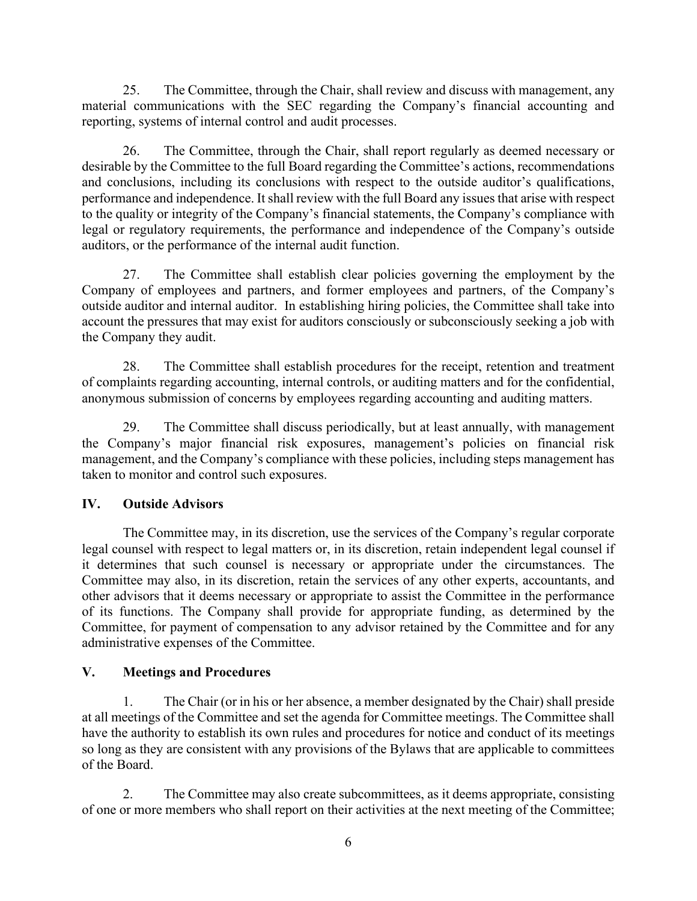25. The Committee, through the Chair, shall review and discuss with management, any material communications with the SEC regarding the Company's financial accounting and reporting, systems of internal control and audit processes.

26. The Committee, through the Chair, shall report regularly as deemed necessary or desirable by the Committee to the full Board regarding the Committee's actions, recommendations and conclusions, including its conclusions with respect to the outside auditor's qualifications, performance and independence. It shall review with the full Board any issues that arise with respect to the quality or integrity of the Company's financial statements, the Company's compliance with legal or regulatory requirements, the performance and independence of the Company's outside auditors, or the performance of the internal audit function.

27. The Committee shall establish clear policies governing the employment by the Company of employees and partners, and former employees and partners, of the Company's outside auditor and internal auditor. In establishing hiring policies, the Committee shall take into account the pressures that may exist for auditors consciously or subconsciously seeking a job with the Company they audit.

28. The Committee shall establish procedures for the receipt, retention and treatment of complaints regarding accounting, internal controls, or auditing matters and for the confidential, anonymous submission of concerns by employees regarding accounting and auditing matters.

29. The Committee shall discuss periodically, but at least annually, with management the Company's major financial risk exposures, management's policies on financial risk management, and the Company's compliance with these policies, including steps management has taken to monitor and control such exposures.

# **IV. Outside Advisors**

The Committee may, in its discretion, use the services of the Company's regular corporate legal counsel with respect to legal matters or, in its discretion, retain independent legal counsel if it determines that such counsel is necessary or appropriate under the circumstances. The Committee may also, in its discretion, retain the services of any other experts, accountants, and other advisors that it deems necessary or appropriate to assist the Committee in the performance of its functions. The Company shall provide for appropriate funding, as determined by the Committee, for payment of compensation to any advisor retained by the Committee and for any administrative expenses of the Committee.

# **V. Meetings and Procedures**

1. The Chair (or in his or her absence, a member designated by the Chair) shall preside at all meetings of the Committee and set the agenda for Committee meetings. The Committee shall have the authority to establish its own rules and procedures for notice and conduct of its meetings so long as they are consistent with any provisions of the Bylaws that are applicable to committees of the Board.

2. The Committee may also create subcommittees, as it deems appropriate, consisting of one or more members who shall report on their activities at the next meeting of the Committee;